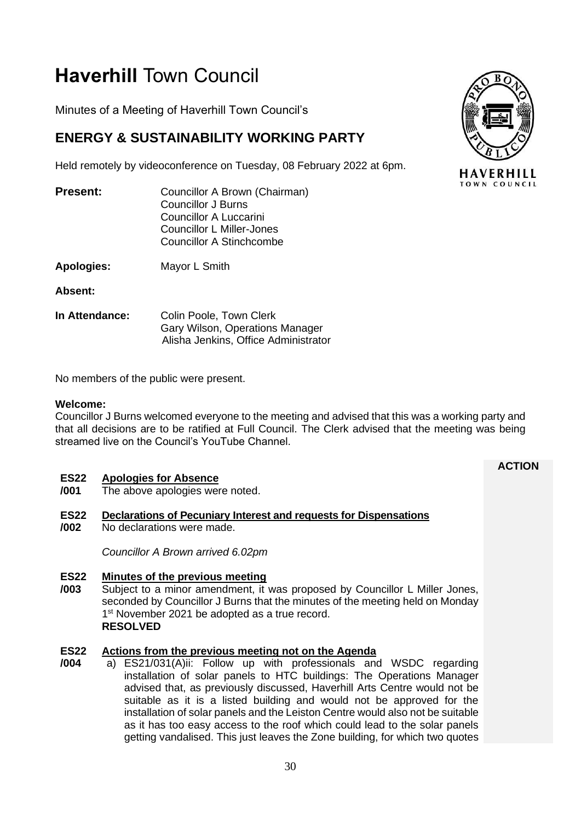# **Haverhill** Town Council

Minutes of a Meeting of Haverhill Town Council's

## **ENERGY & SUSTAINABILITY WORKING PARTY**

Held remotely by videoconference on Tuesday, 08 February 2022 at 6pm.

| Present: | Councillor A Brown (Chairman) |
|----------|-------------------------------|
|          | <b>Councillor J Burns</b>     |
|          | Councillor A Luccarini        |
|          | Councillor L Miller-Jones     |
|          | Councillor A Stinchcombe      |
|          |                               |

**Apologies:** Mayor L Smith

**Absent:**

**In Attendance:** Colin Poole, Town Clerk Gary Wilson, Operations Manager Alisha Jenkins, Office Administrator

No members of the public were present.

### **Welcome:**

Councillor J Burns welcomed everyone to the meeting and advised that this was a working party and that all decisions are to be ratified at Full Council. The Clerk advised that the meeting was being streamed live on the Council's YouTube Channel.

#### **ES22 Apologies for Absence**

**/001** The above apologies were noted.

#### **ES22 Declarations of Pecuniary Interest and requests for Dispensations**

**/002** No declarations were made.

*Councillor A Brown arrived 6.02pm*

#### **ES22 Minutes of the previous meeting**

**/003** Subject to a minor amendment, it was proposed by Councillor L Miller Jones, seconded by Councillor J Burns that the minutes of the meeting held on Monday 1<sup>st</sup> November 2021 be adopted as a true record. **RESOLVED**

#### **ES22 Actions from the previous meeting not on the Agenda**

**/004** a) ES21/031(A)ii: Follow up with professionals and WSDC regarding installation of solar panels to HTC buildings: The Operations Manager advised that, as previously discussed, Haverhill Arts Centre would not be suitable as it is a listed building and would not be approved for the installation of solar panels and the Leiston Centre would also not be suitable as it has too easy access to the roof which could lead to the solar panels getting vandalised. This just leaves the Zone building, for which two quotes



**ACTION**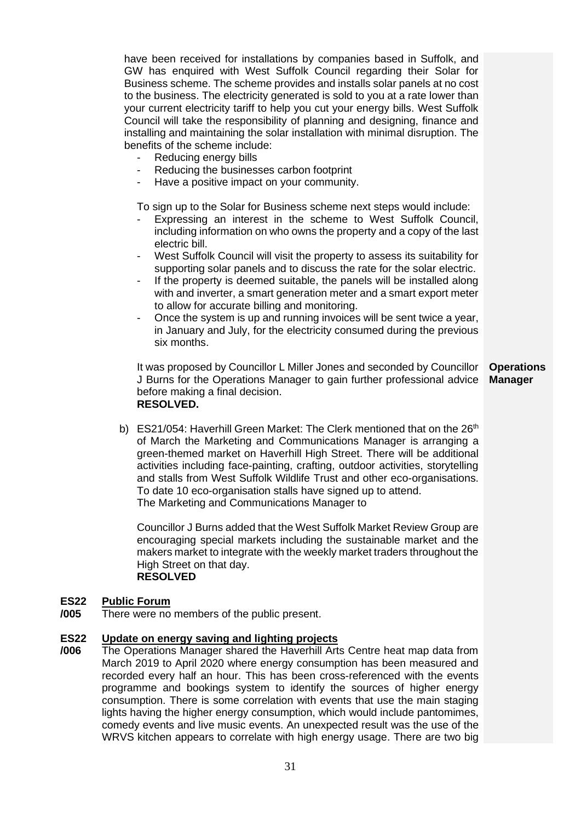have been received for installations by companies based in Suffolk, and GW has enquired with West Suffolk Council regarding their Solar for Business scheme. The scheme provides and installs solar panels at no cost to the business. The electricity generated is sold to you at a rate lower than your current electricity tariff to help you cut your energy bills. West Suffolk Council will take the responsibility of planning and designing, finance and installing and maintaining the solar installation with minimal disruption. The benefits of the scheme include:

- Reducing energy bills
- Reducing the businesses carbon footprint
- Have a positive impact on your community.

To sign up to the Solar for Business scheme next steps would include:

- Expressing an interest in the scheme to West Suffolk Council, including information on who owns the property and a copy of the last electric bill.
- West Suffolk Council will visit the property to assess its suitability for supporting solar panels and to discuss the rate for the solar electric.
- If the property is deemed suitable, the panels will be installed along with and inverter, a smart generation meter and a smart export meter to allow for accurate billing and monitoring.
- Once the system is up and running invoices will be sent twice a year, in January and July, for the electricity consumed during the previous six months.

It was proposed by Councillor L Miller Jones and seconded by Councillor J Burns for the Operations Manager to gain further professional advice before making a final decision. **RESOLVED. Manager**

**Operations** 

b) ES21/054: Haverhill Green Market: The Clerk mentioned that on the  $26<sup>th</sup>$ of March the Marketing and Communications Manager is arranging a green-themed market on Haverhill High Street. There will be additional activities including face-painting, crafting, outdoor activities, storytelling and stalls from West Suffolk Wildlife Trust and other eco-organisations. To date 10 eco-organisation stalls have signed up to attend. The Marketing and Communications Manager to

Councillor J Burns added that the West Suffolk Market Review Group are encouraging special markets including the sustainable market and the makers market to integrate with the weekly market traders throughout the High Street on that day. **RESOLVED**

#### **ES22 Public Forum**

**/005** There were no members of the public present.

#### **ES22 Update on energy saving and lighting projects**

**/006** The Operations Manager shared the Haverhill Arts Centre heat map data from March 2019 to April 2020 where energy consumption has been measured and recorded every half an hour. This has been cross-referenced with the events programme and bookings system to identify the sources of higher energy consumption. There is some correlation with events that use the main staging lights having the higher energy consumption, which would include pantomimes, comedy events and live music events. An unexpected result was the use of the WRVS kitchen appears to correlate with high energy usage. There are two big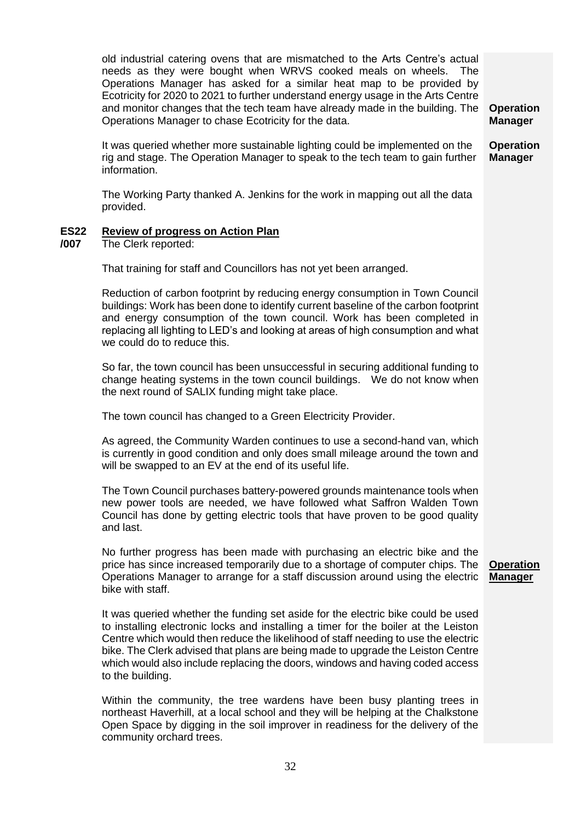old industrial catering ovens that are mismatched to the Arts Centre's actual needs as they were bought when WRVS cooked meals on wheels. The Operations Manager has asked for a similar heat map to be provided by Ecotricity for 2020 to 2021 to further understand energy usage in the Arts Centre and monitor changes that the tech team have already made in the building. The Operations Manager to chase Ecotricity for the data.

It was queried whether more sustainable lighting could be implemented on the rig and stage. The Operation Manager to speak to the tech team to gain further information. **Operation Manager** 

The Working Party thanked A. Jenkins for the work in mapping out all the data provided.

#### **ES22 Review of progress on Action Plan**

**/007** The Clerk reported:

That training for staff and Councillors has not yet been arranged.

Reduction of carbon footprint by reducing energy consumption in Town Council buildings: Work has been done to identify current baseline of the carbon footprint and energy consumption of the town council. Work has been completed in replacing all lighting to LED's and looking at areas of high consumption and what we could do to reduce this.

So far, the town council has been unsuccessful in securing additional funding to change heating systems in the town council buildings. We do not know when the next round of SALIX funding might take place.

The town council has changed to a Green Electricity Provider.

As agreed, the Community Warden continues to use a second-hand van, which is currently in good condition and only does small mileage around the town and will be swapped to an EV at the end of its useful life.

The Town Council purchases battery-powered grounds maintenance tools when new power tools are needed, we have followed what Saffron Walden Town Council has done by getting electric tools that have proven to be good quality and last.

No further progress has been made with purchasing an electric bike and the price has since increased temporarily due to a shortage of computer chips. The Operations Manager to arrange for a staff discussion around using the electric bike with staff.

It was queried whether the funding set aside for the electric bike could be used to installing electronic locks and installing a timer for the boiler at the Leiston Centre which would then reduce the likelihood of staff needing to use the electric bike. The Clerk advised that plans are being made to upgrade the Leiston Centre which would also include replacing the doors, windows and having coded access to the building.

Within the community, the tree wardens have been busy planting trees in northeast Haverhill, at a local school and they will be helping at the Chalkstone Open Space by digging in the soil improver in readiness for the delivery of the community orchard trees.

**Operation Manager**

**Operation Manager**